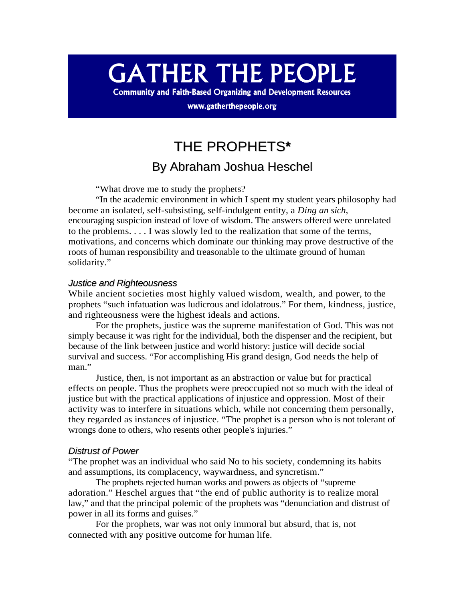# **GATHER THE PEOPLE**

**Community and Faith-Based Organizing and Development Resources** 

www.gatherthepeople.org

## THE PROPHETS**\***

### By Abraham Joshua Heschel

"What drove me to study the prophets?

"In the academic environment in which I spent my student years philosophy had become an isolated, self-subsisting, self-indulgent entity, a *Ding an sich*, encouraging suspicion instead of love of wisdom. The answers offered were unrelated to the problems. . . . I was slowly led to the realization that some of the terms, motivations, and concerns which dominate our thinking may prove destructive of the roots of human responsibility and treasonable to the ultimate ground of human solidarity."

#### *Justice and Righteousness*

While ancient societies most highly valued wisdom, wealth, and power, to the prophets "such infatuation was ludicrous and idolatrous." For them, kindness, justice, and righteousness were the highest ideals and actions.

For the prophets, justice was the supreme manifestation of God. This was not simply because it was right for the individual, both the dispenser and the recipient, but because of the link between justice and world history: justice will decide social survival and success. "For accomplishing His grand design, God needs the help of man."

Justice, then, is not important as an abstraction or value but for practical effects on people. Thus the prophets were preoccupied not so much with the ideal of justice but with the practical applications of injustice and oppression. Most of their activity was to interfere in situations which, while not concerning them personally, they regarded as instances of injustice. "The prophet is a person who is not tolerant of wrongs done to others, who resents other people's injuries."

#### *Distrust of Power*

"The prophet was an individual who said No to his society, condemning its habits and assumptions, its complacency, waywardness, and syncretism."

The prophets rejected human works and powers as objects of "supreme adoration." Heschel argues that "the end of public authority is to realize moral law," and that the principal polemic of the prophets was "denunciation and distrust of power in all its forms and guises."

For the prophets, war was not only immoral but absurd, that is, not connected with any positive outcome for human life.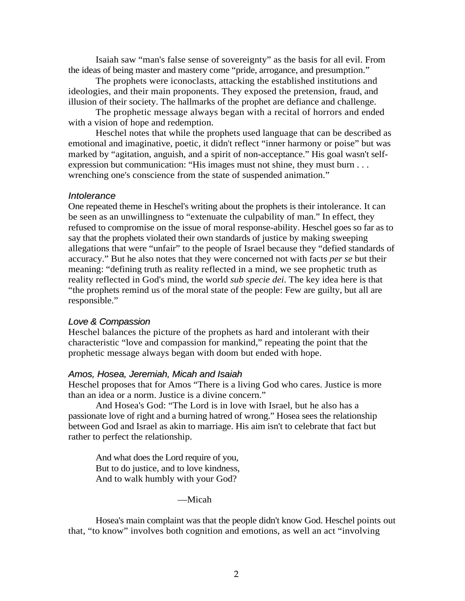Isaiah saw "man's false sense of sovereignty" as the basis for all evil. From the ideas of being master and mastery come "pride, arrogance, and presumption."

The prophets were iconoclasts, attacking the established institutions and ideologies, and their main proponents. They exposed the pretension, fraud, and illusion of their society. The hallmarks of the prophet are defiance and challenge.

The prophetic message always began with a recital of horrors and ended with a vision of hope and redemption.

Heschel notes that while the prophets used language that can be described as emotional and imaginative, poetic, it didn't reflect "inner harmony or poise" but was marked by "agitation, anguish, and a spirit of non-acceptance." His goal wasn't selfexpression but communication: "His images must not shine, they must burn . . . wrenching one's conscience from the state of suspended animation."

#### *Intolerance*

One repeated theme in Heschel's writing about the prophets is their intolerance. It can be seen as an unwillingness to "extenuate the culpability of man." In effect, they refused to compromise on the issue of moral response-ability. Heschel goes so far as to say that the prophets violated their own standards of justice by making sweeping allegations that were "unfair" to the people of Israel because they "defied standards of accuracy." But he also notes that they were concerned not with facts *per se* but their meaning: "defining truth as reality reflected in a mind, we see prophetic truth as reality reflected in God's mind, the world *sub specie dei*. The key idea here is that "the prophets remind us of the moral state of the people: Few are guilty, but all are responsible."

#### *Love & Compassion*

Heschel balances the picture of the prophets as hard and intolerant with their characteristic "love and compassion for mankind," repeating the point that the prophetic message always began with doom but ended with hope.

#### *Amos, Hosea, Jeremiah, Micah and Isaiah*

Heschel proposes that for Amos "There is a living God who cares. Justice is more than an idea or a norm. Justice is a divine concern."

And Hosea's God: "The Lord is in love with Israel, but he also has a passionate love of right and a burning hatred of wrong." Hosea sees the relationship between God and Israel as akin to marriage. His aim isn't to celebrate that fact but rather to perfect the relationship.

And what does the Lord require of you, But to do justice, and to love kindness, And to walk humbly with your God?

—Micah

Hosea's main complaint was that the people didn't know God. Heschel points out that, "to know" involves both cognition and emotions, as well an act "involving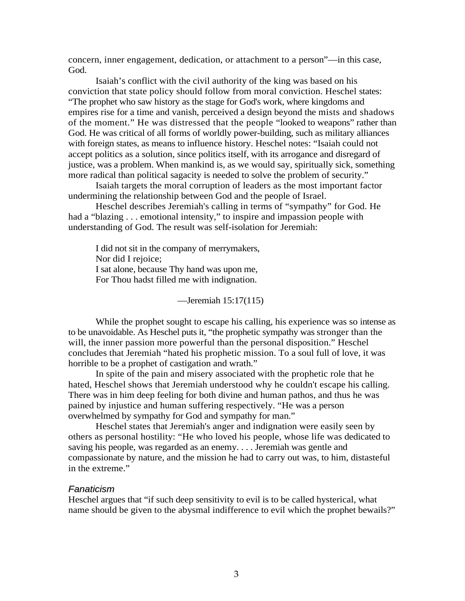concern, inner engagement, dedication, or attachment to a person"—in this case, God.

Isaiah's conflict with the civil authority of the king was based on his conviction that state policy should follow from moral conviction. Heschel states: "The prophet who saw history as the stage for God's work, where kingdoms and empires rise for a time and vanish, perceived a design beyond the mists and shadows of the moment." He was distressed that the people "looked to weapons" rather than God. He was critical of all forms of worldly power-building, such as military alliances with foreign states, as means to influence history. Heschel notes: "Isaiah could not accept politics as a solution, since politics itself, with its arrogance and disregard of justice, was a problem. When mankind is, as we would say, spiritually sick, something more radical than political sagacity is needed to solve the problem of security."

Isaiah targets the moral corruption of leaders as the most important factor undermining the relationship between God and the people of Israel.

Heschel describes Jeremiah's calling in terms of "sympathy" for God. He had a "blazing . . . emotional intensity," to inspire and impassion people with understanding of God. The result was self-isolation for Jeremiah:

I did not sit in the company of merrymakers, Nor did I rejoice; I sat alone, because Thy hand was upon me, For Thou hadst filled me with indignation.

—Jeremiah 15:17(115)

While the prophet sought to escape his calling, his experience was so intense as to be unavoidable. As Heschel puts it, "the prophetic sympathy was stronger than the will, the inner passion more powerful than the personal disposition." Heschel concludes that Jeremiah "hated his prophetic mission. To a soul full of love, it was horrible to be a prophet of castigation and wrath."

In spite of the pain and misery associated with the prophetic role that he hated, Heschel shows that Jeremiah understood why he couldn't escape his calling. There was in him deep feeling for both divine and human pathos, and thus he was pained by injustice and human suffering respectively. "He was a person overwhelmed by sympathy for God and sympathy for man."

Heschel states that Jeremiah's anger and indignation were easily seen by others as personal hostility: "He who loved his people, whose life was dedicated to saving his people, was regarded as an enemy. . . . Jeremiah was gentle and compassionate by nature, and the mission he had to carry out was, to him, distasteful in the extreme."

#### *Fanaticism*

Heschel argues that "if such deep sensitivity to evil is to be called hysterical, what name should be given to the abysmal indifference to evil which the prophet bewails?"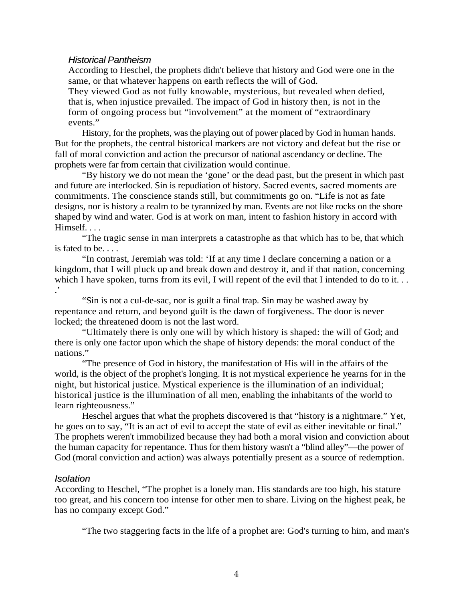#### *Historical Pantheism*

According to Heschel, the prophets didn't believe that history and God were one in the same, or that whatever happens on earth reflects the will of God.

They viewed God as not fully knowable, mysterious, but revealed when defied, that is, when injustice prevailed. The impact of God in history then, is not in the form of ongoing process but "involvement" at the moment of "extraordinary events."

History, for the prophets, was the playing out of power placed by God in human hands. But for the prophets, the central historical markers are not victory and defeat but the rise or fall of moral conviction and action the precursor of national ascendancy or decline. The prophets were far from certain that civilization would continue.

"By history we do not mean the 'gone' or the dead past, but the present in which past and future are interlocked. Sin is repudiation of history. Sacred events, sacred moments are commitments. The conscience stands still, but commitments go on. "Life is not as fate designs, nor is history a realm to be tyrannized by man. Events are not like rocks on the shore shaped by wind and water. God is at work on man, intent to fashion history in accord with Himself. . . .

"The tragic sense in man interprets a catastrophe as that which has to be, that which is fated to be. . . .

"In contrast, Jeremiah was told: 'If at any time I declare concerning a nation or a kingdom, that I will pluck up and break down and destroy it, and if that nation, concerning which I have spoken, turns from its evil, I will repent of the evil that I intended to do to it... .'

"Sin is not a cul-de-sac, nor is guilt a final trap. Sin may be washed away by repentance and return, and beyond guilt is the dawn of forgiveness. The door is never locked; the threatened doom is not the last word.

"Ultimately there is only one will by which history is shaped: the will of God; and there is only one factor upon which the shape of history depends: the moral conduct of the nations."

"The presence of God in history, the manifestation of His will in the affairs of the world, is the object of the prophet's longing. It is not mystical experience he yearns for in the night, but historical justice. Mystical experience is the illumination of an individual; historical justice is the illumination of all men, enabling the inhabitants of the world to learn righteousness."

Heschel argues that what the prophets discovered is that "history is a nightmare." Yet, he goes on to say, "It is an act of evil to accept the state of evil as either inevitable or final." The prophets weren't immobilized because they had both a moral vision and conviction about the human capacity for repentance. Thus for them history wasn't a "blind alley"—the power of God (moral conviction and action) was always potentially present as a source of redemption.

#### *Isolation*

According to Heschel, "The prophet is a lonely man. His standards are too high, his stature too great, and his concern too intense for other men to share. Living on the highest peak, he has no company except God."

"The two staggering facts in the life of a prophet are: God's turning to him, and man's